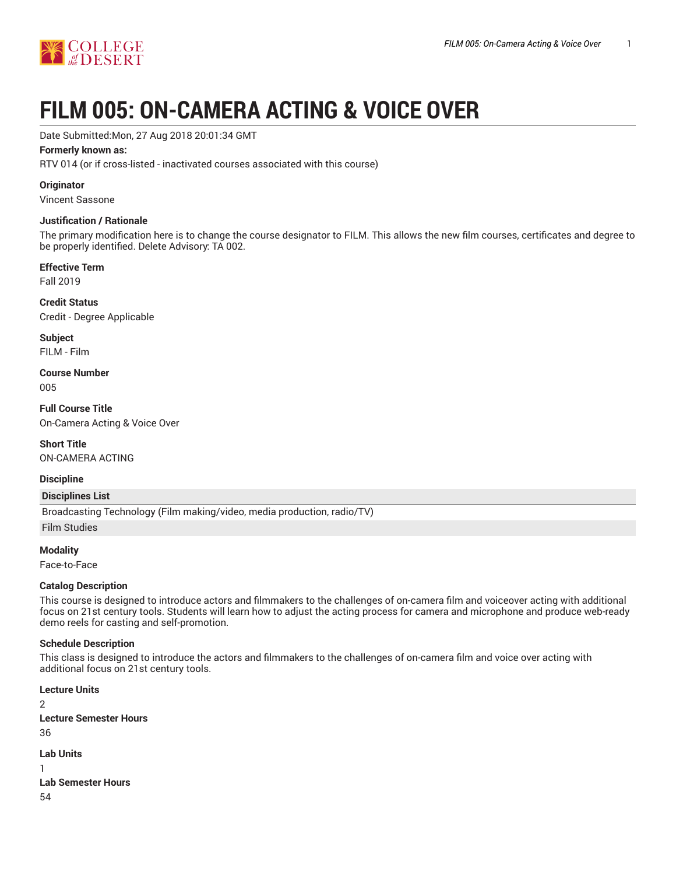

# **FILM 005: ON-CAMERA ACTING & VOICE OVER**

Date Submitted:Mon, 27 Aug 2018 20:01:34 GMT

#### **Formerly known as:**

RTV 014 (or if cross-listed - inactivated courses associated with this course)

**Originator**

Vincent Sassone

#### **Justification / Rationale**

The primary modification here is to change the course designator to FILM. This allows the new film courses, certificates and degree to be properly identified. Delete Advisory: TA 002.

#### **Effective Term**

Fall 2019

**Credit Status** Credit - Degree Applicable

**Subject** FILM - Film

**Course Number** 005

**Full Course Title** On-Camera Acting & Voice Over

**Short Title** ON-CAMERA ACTING

#### **Discipline**

#### **Disciplines List**

Broadcasting Technology (Film making/video, media production, radio/TV)

Film Studies

**Modality**

Face-to-Face

# **Catalog Description**

This course is designed to introduce actors and filmmakers to the challenges of on-camera film and voiceover acting with additional focus on 21st century tools. Students will learn how to adjust the acting process for camera and microphone and produce web-ready demo reels for casting and self-promotion.

# **Schedule Description**

This class is designed to introduce the actors and filmmakers to the challenges of on-camera film and voice over acting with additional focus on 21st century tools.

**Lecture Units**  $\overline{2}$ **Lecture Semester Hours** 36 **Lab Units** 1 **Lab Semester Hours** 54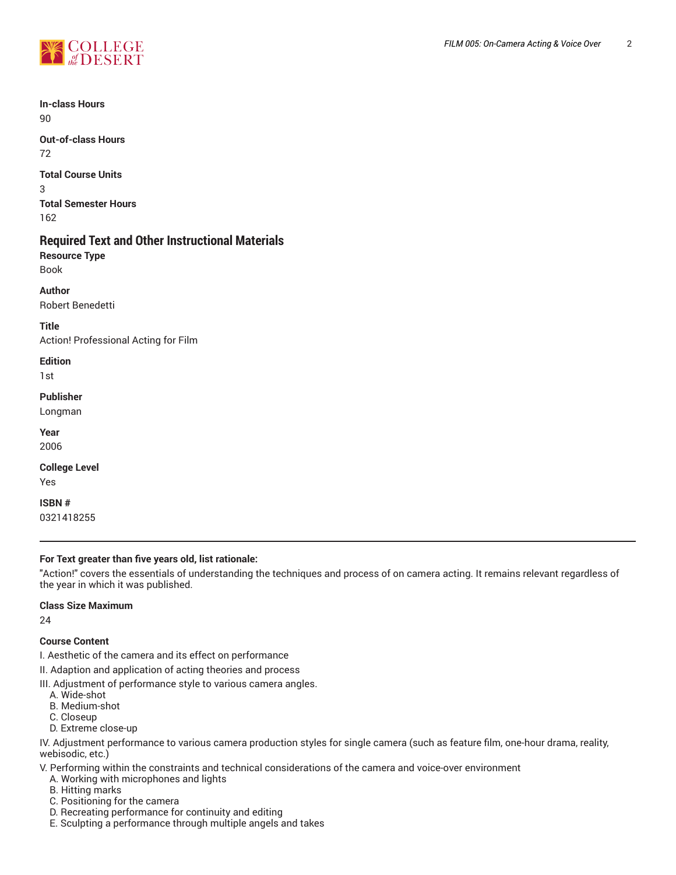

**In-class Hours** 90

**Out-of-class Hours** 72

**Total Course Units** 3 **Total Semester Hours** 162

# **Required Text and Other Instructional Materials**

**Resource Type** Book

**Author**

Robert Benedetti

**Title** Action! Professional Acting for Film

**Edition**

1st

**Publisher**

Longman

**Year** 2006

**College Level**

Yes

**ISBN #**

0321418255

# **For Text greater than five years old, list rationale:**

"Action!" covers the essentials of understanding the techniques and process of on camera acting. It remains relevant regardless of the year in which it was published.

# **Class Size Maximum**

24

# **Course Content**

I. Aesthetic of the camera and its effect on performance

II. Adaption and application of acting theories and process

III. Adjustment of performance style to various camera angles.

- A. Wide-shot
- B. Medium-shot
- C. Closeup
- D. Extreme close-up

IV. Adjustment performance to various camera production styles for single camera (such as feature film, one-hour drama, reality, webisodic, etc.)

V. Performing within the constraints and technical considerations of the camera and voice-over environment

- A. Working with microphones and lights
- B. Hitting marks
- C. Positioning for the camera
- D. Recreating performance for continuity and editing
- E. Sculpting a performance through multiple angels and takes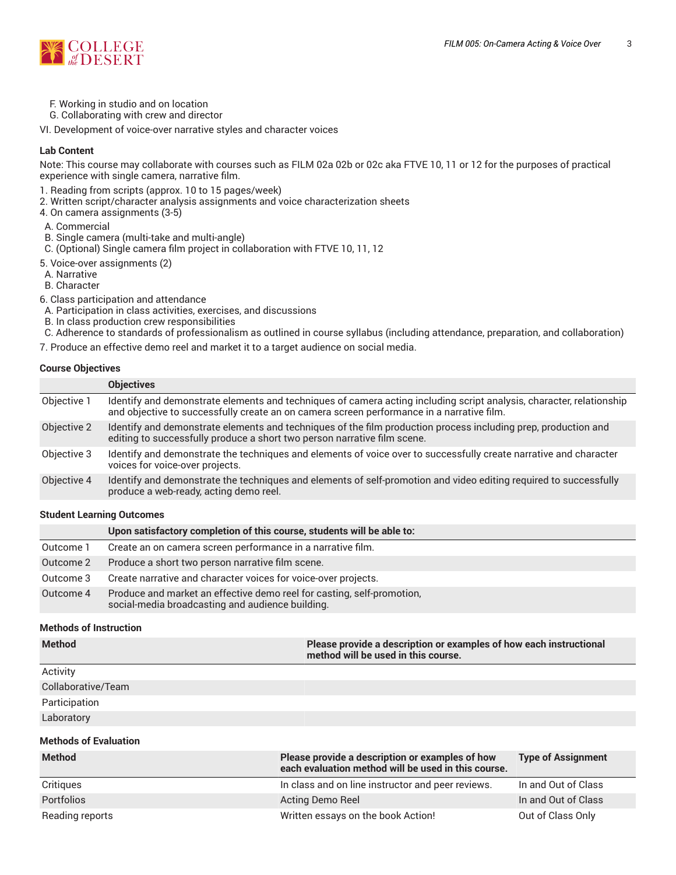

- F. Working in studio and on location
- G. Collaborating with crew and director

VI. Development of voice-over narrative styles and character voices

#### **Lab Content**

Note: This course may collaborate with courses such as FILM 02a 02b or 02c aka FTVE 10, 11 or 12 for the purposes of practical experience with single camera, narrative film.

- 1. Reading from scripts (approx. 10 to 15 pages/week)
- 2. Written script/character analysis assignments and voice characterization sheets
- 4. On camera assignments (3-5)
- A. Commercial
- B. Single camera (multi-take and multi-angle)
- C. (Optional) Single camera film project in collaboration with FTVE 10, 11, 12
- 5. Voice-over assignments (2)
- A. Narrative
- B. Character
- 6. Class participation and attendance
- A. Participation in class activities, exercises, and discussions
- B. In class production crew responsibilities
- C. Adherence to standards of professionalism as outlined in course syllabus (including attendance, preparation, and collaboration)
- 7. Produce an effective demo reel and market it to a target audience on social media.

#### **Course Objectives**

|             | <b>Objectives</b>                                                                                                                                                                                                 |
|-------------|-------------------------------------------------------------------------------------------------------------------------------------------------------------------------------------------------------------------|
| Objective 1 | Identify and demonstrate elements and techniques of camera acting including script analysis, character, relationship<br>and objective to successfully create an on camera screen performance in a narrative film. |
| Objective 2 | Identify and demonstrate elements and techniques of the film production process including prep, production and<br>editing to successfully produce a short two person narrative film scene.                        |
| Objective 3 | Identify and demonstrate the techniques and elements of voice over to successfully create narrative and character<br>voices for voice-over projects.                                                              |
| Objective 4 | Identify and demonstrate the techniques and elements of self-promotion and video editing required to successfully<br>produce a web-ready, acting demo reel.                                                       |

#### **Student Learning Outcomes**

|           | Upon satisfactory completion of this course, students will be able to:                                                     |
|-----------|----------------------------------------------------------------------------------------------------------------------------|
| Outcome 1 | Create an on camera screen performance in a narrative film.                                                                |
| Outcome 2 | Produce a short two person narrative film scene.                                                                           |
| Outcome 3 | Create narrative and character voices for voice-over projects.                                                             |
| Outcome 4 | Produce and market an effective demo reel for casting, self-promotion,<br>social-media broadcasting and audience building. |

#### **Methods of Instruction**

| <b>Method</b>      | Please provide a description or examples of how each instructional<br>method will be used in this course. |
|--------------------|-----------------------------------------------------------------------------------------------------------|
| Activity           |                                                                                                           |
| Collaborative/Team |                                                                                                           |
| Participation      |                                                                                                           |
| Laboratory         |                                                                                                           |

#### **Methods of Evaluation**

| <b>Method</b>     | Please provide a description or examples of how<br>each evaluation method will be used in this course. | <b>Type of Assignment</b> |
|-------------------|--------------------------------------------------------------------------------------------------------|---------------------------|
| Critiques         | In class and on line instructor and peer reviews.                                                      | In and Out of Class       |
| <b>Portfolios</b> | Acting Demo Reel                                                                                       | In and Out of Class       |
| Reading reports   | Written essays on the book Action!                                                                     | Out of Class Only         |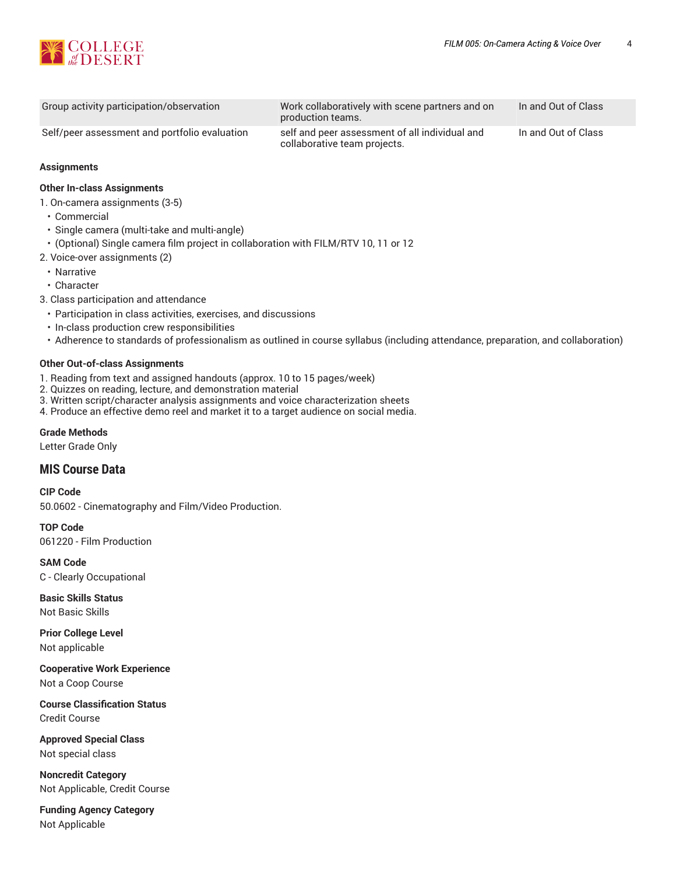

| Group activity participation/observation      | Work collaboratively with scene partners and on<br>production teams.           | In and Out of Class |
|-----------------------------------------------|--------------------------------------------------------------------------------|---------------------|
| Self/peer assessment and portfolio evaluation | self and peer assessment of all individual and<br>collaborative team projects. | In and Out of Class |

#### **Assignments**

#### **Other In-class Assignments**

1. On-camera assignments (3-5)

- Commercial
- Single camera (multi-take and multi-angle)
- (Optional) Single camera film project in collaboration with FILM/RTV 10, 11 or 12
- 2. Voice-over assignments (2)
	- Narrative
	- Character
- 3. Class participation and attendance
	- Participation in class activities, exercises, and discussions
	- In-class production crew responsibilities
	- Adherence to standards of professionalism as outlined in course syllabus (including attendance, preparation, and collaboration)

#### **Other Out-of-class Assignments**

- 1. Reading from text and assigned handouts (approx. 10 to 15 pages/week)
- 2. Quizzes on reading, lecture, and demonstration material
- 3. Written script/character analysis assignments and voice characterization sheets
- 4. Produce an effective demo reel and market it to a target audience on social media.

#### **Grade Methods**

Letter Grade Only

# **MIS Course Data**

**CIP Code**

50.0602 - Cinematography and Film/Video Production.

**TOP Code** 061220 - Film Production

**SAM Code** C - Clearly Occupational

**Basic Skills Status** Not Basic Skills

**Prior College Level** Not applicable

**Cooperative Work Experience** Not a Coop Course

**Course Classification Status** Credit Course

**Approved Special Class** Not special class

**Noncredit Category** Not Applicable, Credit Course

**Funding Agency Category** Not Applicable